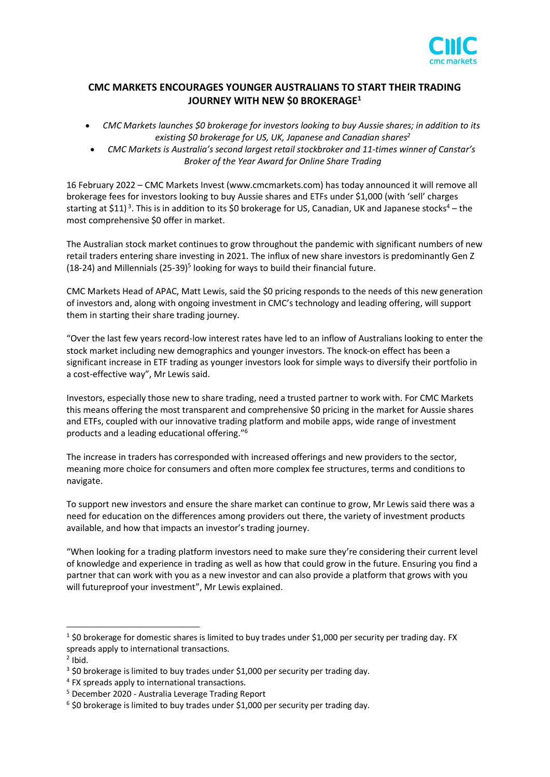

## **CMC MARKETS ENCOURAGES YOUNGER AUSTRALIANS TO START THEIR TRADING JOURNEY WITH NEW \$0 BROKERAGE<sup>1</sup>**

- *CMC Markets launches \$0 brokerage for investors looking to buy Aussie shares; in addition to its existing \$0 brokerage for US, UK, Japanese and Canadian shares<sup>2</sup>*
- *CMC Markets is Australia's second largest retail stockbroker and 11-times winner of Canstar's Broker of the Year Award for Online Share Trading*

16 February 2022 – CMC Markets Invest [\(www.cmcmarkets.com\)](http://www.cmcmarkets.com/) has today announced it will remove all brokerage fees for investors looking to buy Aussie shares and ETFs under \$1,000 (with 'sell' charges starting at \$11)<sup>3</sup>. This is in addition to its \$0 brokerage for US, Canadian, UK and Japanese stocks<sup>4</sup> – the most comprehensive \$0 offer in market.

The Australian stock market continues to grow throughout the pandemic with significant numbers of new retail traders entering share investing in 2021. The influx of new share investors is predominantly Gen Z (18-24) and Millennials (25-39)<sup>5</sup> looking for ways to build their financial future.

CMC Markets Head of APAC, Matt Lewis, said the \$0 pricing responds to the needs of this new generation of investors and, along with ongoing investment in CMC's technology and leading offering, will support them in starting their share trading journey.

"Over the last few years record-low interest rates have led to an inflow of Australians looking to enter the stock market including new demographics and younger investors. The knock-on effect has been a significant increase in ETF trading as younger investors look for simple ways to diversify their portfolio in a cost-effective way", Mr Lewis said.

Investors, especially those new to share trading, need a trusted partner to work with. For CMC Markets this means offering the most transparent and comprehensive \$0 pricing in the market for Aussie shares and ETFs, coupled with our innovative trading platform and mobile apps, wide range of investment products and a leading educational offering."<sup>6</sup>

The increase in traders has corresponded with increased offerings and new providers to the sector, meaning more choice for consumers and often more complex fee structures, terms and conditions to navigate.

To support new investors and ensure the share market can continue to grow, Mr Lewis said there was a need for education on the differences among providers out there, the variety of investment products available, and how that impacts an investor's trading journey.

"When looking for a trading platform investors need to make sure they're considering their current level of knowledge and experience in trading as well as how that could grow in the future. Ensuring you find a partner that can work with you as a new investor and can also provide a platform that grows with you will futureproof your investment", Mr Lewis explained.

 $1$  \$0 brokerage for domestic shares is limited to buy trades under \$1,000 per security per trading day. FX spreads apply to international transactions.

 $<sup>2</sup>$  Ibid.</sup>

<sup>&</sup>lt;sup>3</sup> \$0 brokerage is limited to buy trades under \$1,000 per security per trading day.

<sup>4</sup> FX spreads apply to international transactions.

<sup>5</sup> December 2020 - Australia Leverage Trading Report

 $6$  \$0 brokerage is limited to buy trades under \$1,000 per security per trading day.